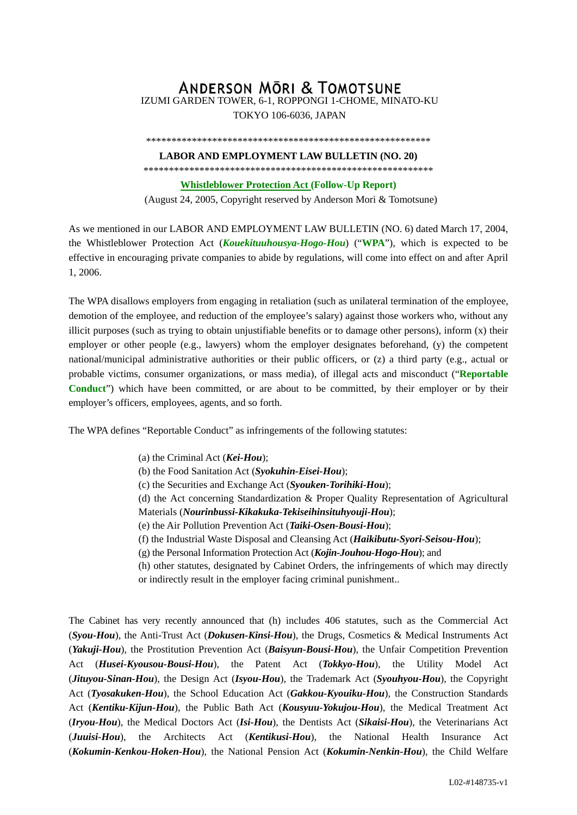## **ANDERSON MORI & TOMOTSUNE** IZUMI GARDEN TOWER, 6-1, ROPPONGI 1-CHOME, MINATO-KU

TOKYO 106-6036, JAPAN

## \*\*\*\*\*\*\*\*\*\*\*\*\*\*\*\*\*\*\*\*\*\*\*\*\*\*\*\*\*\*\*\*\*\*\*\*\*\*\*\*\*\*\*\*\*\*\*\*\*\*\*\*\*\*\*\*

## **LABOR AND EMPLOYMENT LAW BULLETIN (NO. 20)**

\*\*\*\*\*\*\*\*\*\*\*\*\*\*\*\*\*\*\*\*\*\*\*\*\*\*\*\*\*\*\*\*\*\*\*\*\*\*\*\*\*\*\*\*\*\*\*\*\*\*\*\*\*\*\*\*\*

**Whistleblower Protection Act (Follow-Up Report)** 

(August 24, 2005, Copyright reserved by Anderson Mori & Tomotsune)

As we mentioned in our LABOR AND EMPLOYMENT LAW BULLETIN (NO. 6) dated March 17, 2004, the Whistleblower Protection Act (*Kouekituuhousya-Hogo-Hou*) ("**WPA**"), which is expected to be effective in encouraging private companies to abide by regulations, will come into effect on and after April 1, 2006.

The WPA disallows employers from engaging in retaliation (such as unilateral termination of the employee, demotion of the employee, and reduction of the employee's salary) against those workers who, without any illicit purposes (such as trying to obtain unjustifiable benefits or to damage other persons), inform (x) their employer or other people (e.g., lawyers) whom the employer designates beforehand, (y) the competent national/municipal administrative authorities or their public officers, or (z) a third party (e.g., actual or probable victims, consumer organizations, or mass media), of illegal acts and misconduct ("**Reportable Conduct**") which have been committed, or are about to be committed, by their employer or by their employer's officers, employees, agents, and so forth.

The WPA defines "Reportable Conduct" as infringements of the following statutes:

- (a) the Criminal Act (*Kei-Hou*);
- (b) the Food Sanitation Act (*Syokuhin-Eisei-Hou*);
- (c) the Securities and Exchange Act (*Syouken-Torihiki-Hou*);
- (d) the Act concerning Standardization & Proper Quality Representation of Agricultural Materials (*Nourinbussi-Kikakuka-Tekiseihinsituhyouji-Hou*);
- (e) the Air Pollution Prevention Act (*Taiki-Osen-Bousi-Hou*);
- (f) the Industrial Waste Disposal and Cleansing Act (*Haikibutu-Syori-Seisou-Hou*);
- (g) the Personal Information Protection Act (*Kojin-Jouhou-Hogo-Hou*); and
- (h) other statutes, designated by Cabinet Orders, the infringements of which may directly or indirectly result in the employer facing criminal punishment..

The Cabinet has very recently announced that (h) includes 406 statutes, such as the Commercial Act (*Syou-Hou*), the Anti-Trust Act (*Dokusen-Kinsi-Hou*), the Drugs, Cosmetics & Medical Instruments Act (*Yakuji-Hou*), the Prostitution Prevention Act (*Baisyun-Bousi-Hou*), the Unfair Competition Prevention Act (*Husei-Kyousou-Bousi-Hou*), the Patent Act (*Tokkyo-Hou*), the Utility Model Act (*Jituyou-Sinan-Hou*), the Design Act (*Isyou-Hou*), the Trademark Act (*Syouhyou-Hou*), the Copyright Act (*Tyosakuken-Hou*), the School Education Act (*Gakkou-Kyouiku-Hou*), the Construction Standards Act (*Kentiku-Kijun-Hou*), the Public Bath Act (*Kousyuu-Yokujou-Hou*), the Medical Treatment Act (*Iryou-Hou*), the Medical Doctors Act (*Isi-Hou*), the Dentists Act (*Sikaisi-Hou*), the Veterinarians Act (*Juuisi-Hou*), the Architects Act (*Kentikusi-Hou*), the National Health Insurance Act (*Kokumin-Kenkou-Hoken-Hou*), the National Pension Act (*Kokumin-Nenkin-Hou*), the Child Welfare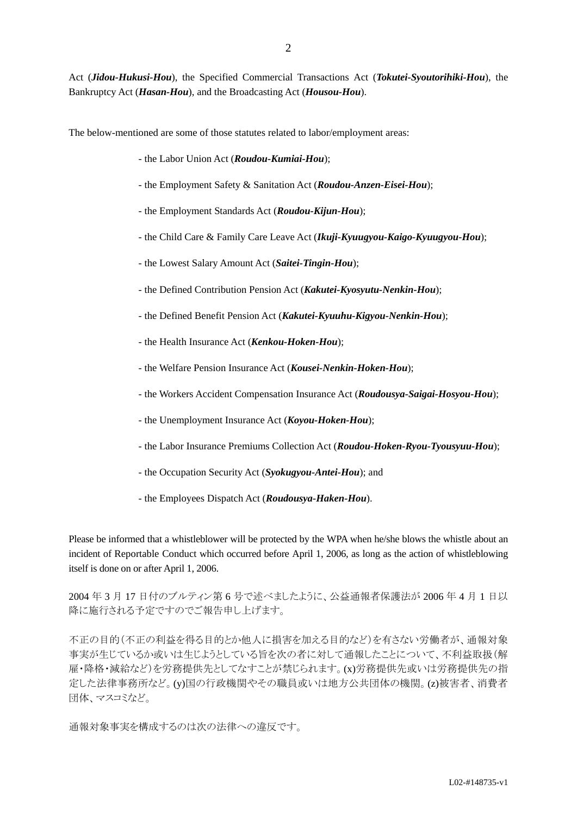Act (*Jidou-Hukusi-Hou*), the Specified Commercial Transactions Act (*Tokutei-Syoutorihiki-Hou*), the Bankruptcy Act (*Hasan-Hou*), and the Broadcasting Act (*Housou-Hou*).

The below-mentioned are some of those statutes related to labor/employment areas:

- the Labor Union Act (*Roudou-Kumiai-Hou*);
- the Employment Safety & Sanitation Act (*Roudou-Anzen-Eisei-Hou*);
- the Employment Standards Act (*Roudou-Kijun-Hou*);
- the Child Care & Family Care Leave Act (*Ikuji-Kyuugyou-Kaigo-Kyuugyou-Hou*);
- the Lowest Salary Amount Act (*Saitei-Tingin-Hou*);
- the Defined Contribution Pension Act (*Kakutei-Kyosyutu-Nenkin-Hou*);
- the Defined Benefit Pension Act (*Kakutei-Kyuuhu-Kigyou-Nenkin-Hou*);
- the Health Insurance Act (*Kenkou-Hoken-Hou*);
- the Welfare Pension Insurance Act (*Kousei-Nenkin-Hoken-Hou*);
- the Workers Accident Compensation Insurance Act (*Roudousya-Saigai-Hosyou-Hou*);
- the Unemployment Insurance Act (*Koyou-Hoken-Hou*);
- the Labor Insurance Premiums Collection Act (*Roudou-Hoken-Ryou-Tyousyuu-Hou*);
- the Occupation Security Act (*Syokugyou-Antei-Hou*); and
- the Employees Dispatch Act (*Roudousya-Haken-Hou*).

Please be informed that a whistleblower will be protected by the WPA when he/she blows the whistle about an incident of Reportable Conduct which occurred before April 1, 2006, as long as the action of whistleblowing itself is done on or after April 1, 2006.

2004 年 3 月 17 日付のブルティン第 6 号で述べましたように、公益通報者保護法が 2006 年 4 月 1 日以 降に施行される予定ですのでご報告申し上げます。

不正の目的(不正の利益を得る目的とか他人に損害を加える目的など)を有さない労働者が、通報対象 事実が生じているか或いは生じようとしている旨を次の者に対して通報したことについて、不利益取扱(解 雇・降格・減給など)を労務提供先としてなすことが禁じられます。(x)労務提供先或いは労務提供先の指 定した法律事務所など。(y)国の行政機関やその職員或いは地方公共団体の機関。(z)被害者、消費者 団体、マスコミなど。

通報対象事実を構成するのは次の法律への違反です。